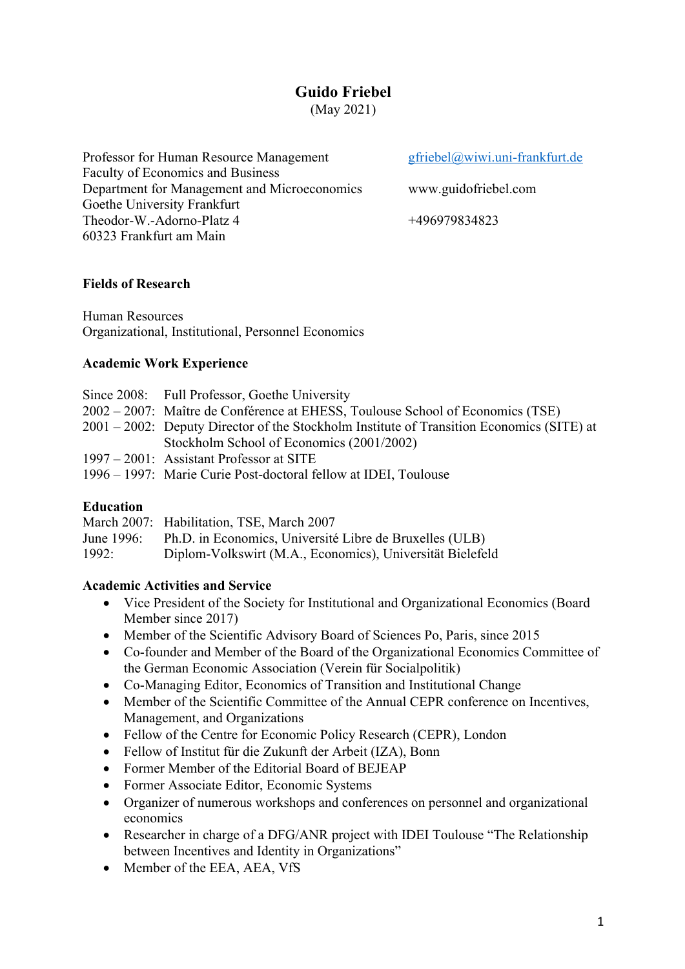# **Guido Friebel**

(May 2021)

Professor for Human Resource Management gfriebel@wiwi.uni-frankfurt.de Faculty of Economics and Business Department for Management and Microeconomics www.guidofriebel.com Goethe University Frankfurt Theodor-W.-Adorno-Platz 4 +496979834823 60323 Frankfurt am Main

## **Fields of Research**

Human Resources Organizational, Institutional, Personnel Economics

## **Academic Work Experience**

| Since 2008: Full Professor, Goethe University                                             |
|-------------------------------------------------------------------------------------------|
| 2002 – 2007: Maître de Conférence at EHESS, Toulouse School of Economics (TSE)            |
| 2001 – 2002: Deputy Director of the Stockholm Institute of Transition Economics (SITE) at |
| Stockholm School of Economics (2001/2002)                                                 |
| 1997 – 2001: Assistant Professor at SITE                                                  |
| 1996 – 1997: Marie Curie Post-doctoral fellow at IDEI, Toulouse                           |

## **Education**

|            | March 2007: Habilitation, TSE, March 2007                 |
|------------|-----------------------------------------------------------|
| June 1996: | Ph.D. in Economics, Université Libre de Bruxelles (ULB)   |
| 1992:      | Diplom-Volkswirt (M.A., Economics), Universität Bielefeld |

# **Academic Activities and Service**

- Vice President of the Society for Institutional and Organizational Economics (Board Member since 2017)
- Member of the Scientific Advisory Board of Sciences Po, Paris, since 2015
- Co-founder and Member of the Board of the Organizational Economics Committee of the German Economic Association (Verein für Socialpolitik)
- Co-Managing Editor, Economics of Transition and Institutional Change
- Member of the Scientific Committee of the Annual CEPR conference on Incentives, Management, and Organizations
- Fellow of the Centre for Economic Policy Research (CEPR), London
- Fellow of Institut für die Zukunft der Arbeit (IZA), Bonn
- Former Member of the Editorial Board of BEJEAP
- Former Associate Editor, Economic Systems
- Organizer of numerous workshops and conferences on personnel and organizational economics
- Researcher in charge of a DFG/ANR project with IDEI Toulouse "The Relationship" between Incentives and Identity in Organizations"
- Member of the EEA, AEA, VfS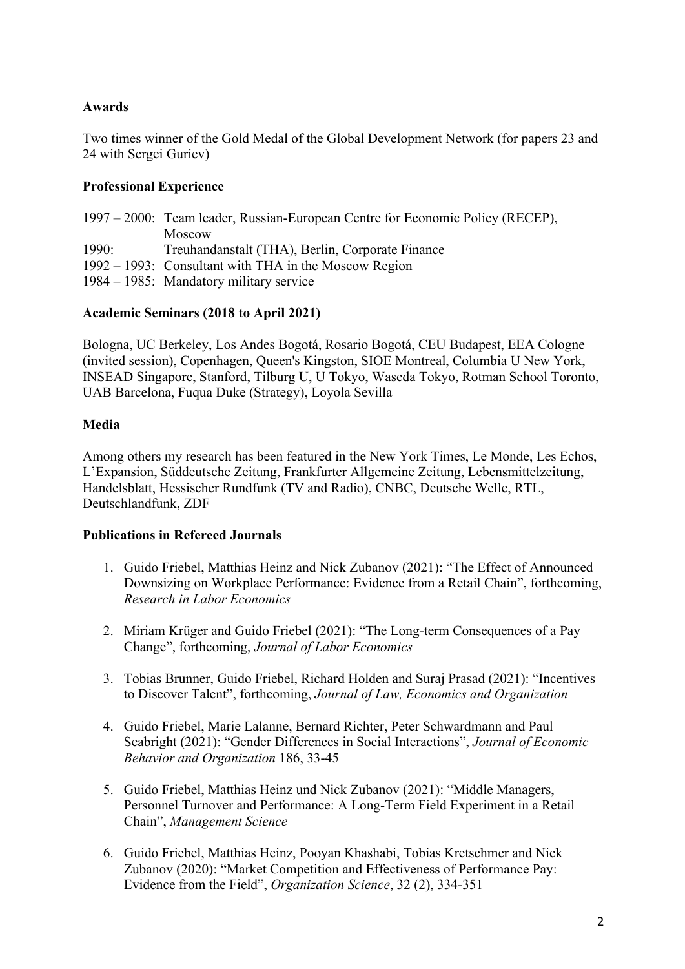## **Awards**

Two times winner of the Gold Medal of the Global Development Network (for papers 23 and 24 with Sergei Guriev)

# **Professional Experience**

|       | 1997 – 2000: Team leader, Russian-European Centre for Economic Policy (RECEP), |
|-------|--------------------------------------------------------------------------------|
|       | Moscow                                                                         |
| 1990: | Treuhandanstalt (THA), Berlin, Corporate Finance                               |
|       | 1992 – 1993: Consultant with THA in the Moscow Region                          |
|       | 1984 – 1985: Mandatory military service                                        |

## **Academic Seminars (2018 to April 2021)**

Bologna, UC Berkeley, Los Andes Bogotá, Rosario Bogotá, CEU Budapest, EEA Cologne (invited session), Copenhagen, Queen's Kingston, SIOE Montreal, Columbia U New York, INSEAD Singapore, Stanford, Tilburg U, U Tokyo, Waseda Tokyo, Rotman School Toronto, UAB Barcelona, Fuqua Duke (Strategy), Loyola Sevilla

## **Media**

Among others my research has been featured in the New York Times, Le Monde, Les Echos, L'Expansion, Süddeutsche Zeitung, Frankfurter Allgemeine Zeitung, Lebensmittelzeitung, Handelsblatt, Hessischer Rundfunk (TV and Radio), CNBC, Deutsche Welle, RTL, Deutschlandfunk, ZDF

## **Publications in Refereed Journals**

- 1. Guido Friebel, Matthias Heinz and Nick Zubanov (2021): "The Effect of Announced Downsizing on Workplace Performance: Evidence from a Retail Chain", forthcoming, *Research in Labor Economics*
- 2. Miriam Krüger and Guido Friebel (2021): "The Long-term Consequences of a Pay Change", forthcoming, *Journal of Labor Economics*
- 3. Tobias Brunner, Guido Friebel, Richard Holden and Suraj Prasad (2021): "Incentives to Discover Talent", forthcoming, *Journal of Law, Economics and Organization*
- 4. Guido Friebel, Marie Lalanne, Bernard Richter, Peter Schwardmann and Paul Seabright (2021): "Gender Differences in Social Interactions", *Journal of Economic Behavior and Organization* 186, 33-45
- 5. Guido Friebel, Matthias Heinz und Nick Zubanov (2021): "Middle Managers, Personnel Turnover and Performance: A Long-Term Field Experiment in a Retail Chain", *Management Science*
- 6. Guido Friebel, Matthias Heinz, Pooyan Khashabi, Tobias Kretschmer and Nick Zubanov (2020): "Market Competition and Effectiveness of Performance Pay: Evidence from the Field", *Organization Science*, 32 (2), 334-351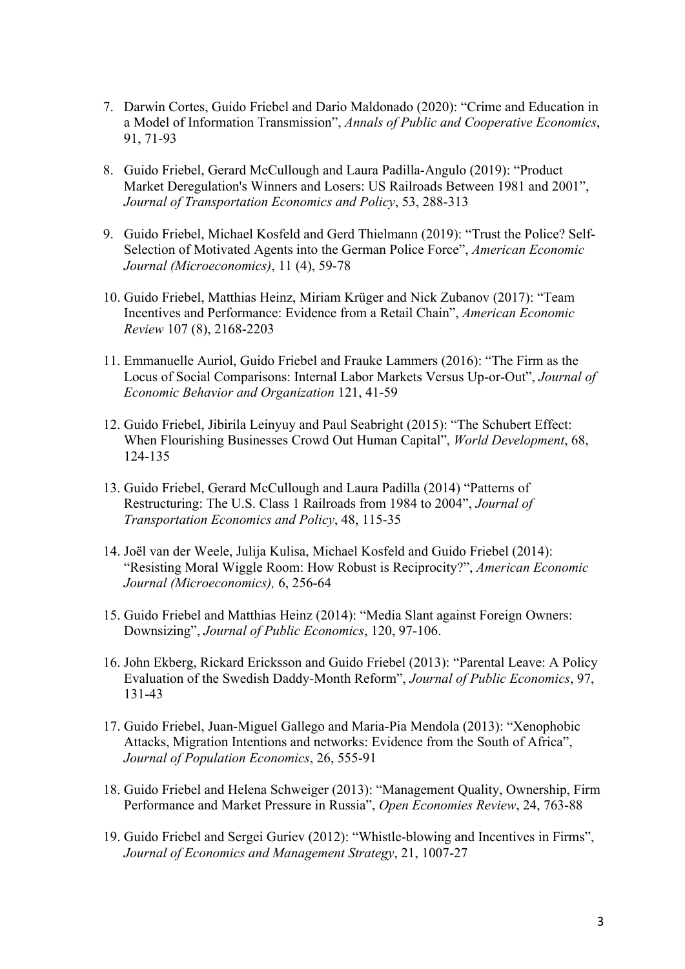- 7. Darwin Cortes, Guido Friebel and Dario Maldonado (2020): "Crime and Education in a Model of Information Transmission", *Annals of Public and Cooperative Economics*, 91, 71-93
- 8. Guido Friebel, Gerard McCullough and Laura Padilla-Angulo (2019): "Product Market Deregulation's Winners and Losers: US Railroads Between 1981 and 2001", *Journal of Transportation Economics and Policy*, 53, 288-313
- 9. Guido Friebel, Michael Kosfeld and Gerd Thielmann (2019): "Trust the Police? Self-Selection of Motivated Agents into the German Police Force", *American Economic Journal (Microeconomics)*, 11 (4), 59-78
- 10. Guido Friebel, Matthias Heinz, Miriam Krüger and Nick Zubanov (2017): "Team Incentives and Performance: Evidence from a Retail Chain", *American Economic Review* 107 (8), 2168-2203
- 11. Emmanuelle Auriol, Guido Friebel and Frauke Lammers (2016): "The Firm as the Locus of Social Comparisons: Internal Labor Markets Versus Up-or-Out", *Journal of Economic Behavior and Organization* 121, 41-59
- 12. Guido Friebel, Jibirila Leinyuy and Paul Seabright (2015): "The Schubert Effect: When Flourishing Businesses Crowd Out Human Capital", *World Development*, 68, 124-135
- 13. Guido Friebel, Gerard McCullough and Laura Padilla (2014) "Patterns of Restructuring: The U.S. Class 1 Railroads from 1984 to 2004", *Journal of Transportation Economics and Policy*, 48, 115-35
- 14. Joël van der Weele, Julija Kulisa, Michael Kosfeld and Guido Friebel (2014): "Resisting Moral Wiggle Room: How Robust is Reciprocity?", *American Economic Journal (Microeconomics),* 6, 256-64
- 15. Guido Friebel and Matthias Heinz (2014): "Media Slant against Foreign Owners: Downsizing", *Journal of Public Economics*, 120, 97-106.
- 16. John Ekberg, Rickard Ericksson and Guido Friebel (2013): "Parental Leave: A Policy Evaluation of the Swedish Daddy-Month Reform", *Journal of Public Economics*, 97, 131-43
- 17. Guido Friebel, Juan-Miguel Gallego and Maria-Pia Mendola (2013): "Xenophobic Attacks, Migration Intentions and networks: Evidence from the South of Africa", *Journal of Population Economics*, 26, 555-91
- 18. Guido Friebel and Helena Schweiger (2013): "Management Quality, Ownership, Firm Performance and Market Pressure in Russia", *Open Economies Review*, 24, 763-88
- 19. Guido Friebel and Sergei Guriev (2012): "Whistle-blowing and Incentives in Firms", *Journal of Economics and Management Strategy*, 21, 1007-27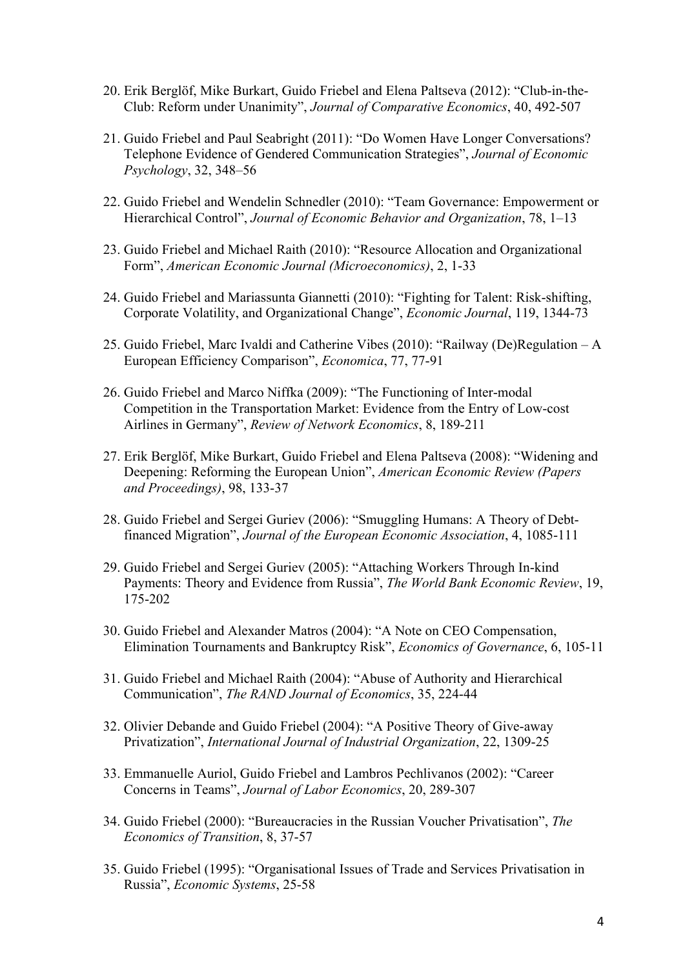- 20. Erik Berglöf, Mike Burkart, Guido Friebel and Elena Paltseva (2012): "Club-in-the-Club: Reform under Unanimity", *Journal of Comparative Economics*, 40, 492-507
- 21. Guido Friebel and Paul Seabright (2011): "Do Women Have Longer Conversations? Telephone Evidence of Gendered Communication Strategies", *Journal of Economic Psychology*, 32, 348–56
- 22. Guido Friebel and Wendelin Schnedler (2010): "Team Governance: Empowerment or Hierarchical Control", *Journal of Economic Behavior and Organization*, 78, 1–13
- 23. Guido Friebel and Michael Raith (2010): "Resource Allocation and Organizational Form", *American Economic Journal (Microeconomics)*, 2, 1-33
- 24. Guido Friebel and Mariassunta Giannetti (2010): "Fighting for Talent: Risk-shifting, Corporate Volatility, and Organizational Change", *Economic Journal*, 119, 1344-73
- 25. Guido Friebel, Marc Ivaldi and Catherine Vibes (2010): "Railway (De)Regulation A European Efficiency Comparison", *Economica*, 77, 77-91
- 26. Guido Friebel and Marco Niffka (2009): "The Functioning of Inter-modal Competition in the Transportation Market: Evidence from the Entry of Low-cost Airlines in Germany", *Review of Network Economics*, 8, 189-211
- 27. Erik Berglöf, Mike Burkart, Guido Friebel and Elena Paltseva (2008): "Widening and Deepening: Reforming the European Union", *American Economic Review (Papers and Proceedings)*, 98, 133-37
- 28. Guido Friebel and Sergei Guriev (2006): "Smuggling Humans: A Theory of Debtfinanced Migration", *Journal of the European Economic Association*, 4, 1085-111
- 29. Guido Friebel and Sergei Guriev (2005): "Attaching Workers Through In-kind Payments: Theory and Evidence from Russia", *The World Bank Economic Review*, 19, 175-202
- 30. Guido Friebel and Alexander Matros (2004): "A Note on CEO Compensation, Elimination Tournaments and Bankruptcy Risk", *Economics of Governance*, 6, 105-11
- 31. Guido Friebel and Michael Raith (2004): "Abuse of Authority and Hierarchical Communication", *The RAND Journal of Economics*, 35, 224-44
- 32. Olivier Debande and Guido Friebel (2004): "A Positive Theory of Give-away Privatization", *International Journal of Industrial Organization*, 22, 1309-25
- 33. Emmanuelle Auriol, Guido Friebel and Lambros Pechlivanos (2002): "Career Concerns in Teams", *Journal of Labor Economics*, 20, 289-307
- 34. Guido Friebel (2000): "Bureaucracies in the Russian Voucher Privatisation", *The Economics of Transition*, 8, 37-57
- 35. Guido Friebel (1995): "Organisational Issues of Trade and Services Privatisation in Russia", *Economic Systems*, 25-58